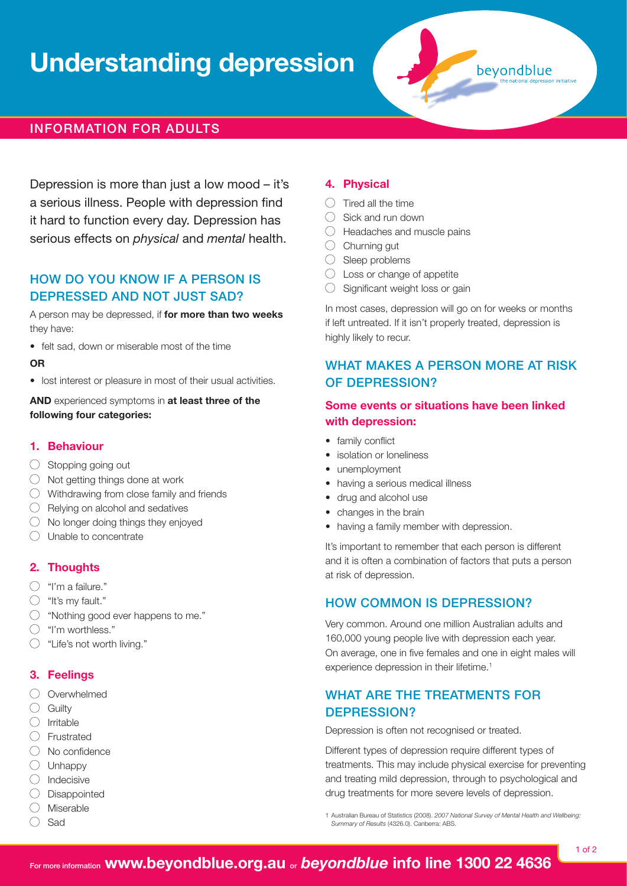# **Understanding depression**



## Information for adults

Depression is more than just a low mood – it's a serious illness. People with depression find it hard to function every day. Depression has serious effects on *physical* and *mental* health.

## How do you know if a person is DEPRESSED AND NOT JUST SAD?

A person may be depressed, if **for more than two weeks**  they have:

• felt sad, down or miserable most of the time

#### **OR**

• lost interest or pleasure in most of their usual activities.

**AND** experienced symptoms in **at least three of the following four categories:**

#### **1. Behaviour**

- $\bigcirc$  Stopping going out
- $\bigcirc$  Not getting things done at work
- $\bigcirc$  Withdrawing from close family and friends
- $\bigcirc$  Relying on alcohol and sedatives
- $\bigcirc$  No longer doing things they enjoyed
- $\bigcirc$  Unable to concentrate

## **2. Thoughts**

- $\bigcap$  "I'm a failure."
- $\bigcirc$  "It's my fault."
- $\bigcirc$  "Nothing good ever happens to me."
- $\bigcirc$  "I'm worthless."
- $\bigcirc$  "Life's not worth living."

#### **3. Feelings**

- $\bigcirc$  Overwhelmed
- $\bigcirc$  Guilty
- $\bigcirc$  Irritable
- $\bigcap$  Frustrated
- $\bigcirc$  No confidence
- $\bigcirc$  Unhappy
- $\bigcap$  Indecisive
- $\bigcirc$  Disappointed
- $\bigcirc$  Miserable
- $\bigcirc$  Sad

## **4. Physical**

- $\bigcirc$  Tired all the time
- $\bigcirc$  Sick and run down
- $\bigcirc$  Headaches and muscle pains
- $\bigcirc$  Churning gut
- $\bigcirc$  Sleep problems
- $\bigcirc$  Loss or change of appetite
- $\bigcirc$  Significant weight loss or gain

In most cases, depression will go on for weeks or months if left untreated. If it isn't properly treated, depression is highly likely to recur.

## WHAT MAKES A PERSON MORE AT RISK of depression?

## **Some events or situations have been linked with depression:**

- family conflict
- isolation or loneliness
- unemployment
- having a serious medical illness
- drug and alcohol use
- changes in the brain
- having a family member with depression.

It's important to remember that each person is different and it is often a combination of factors that puts a person at risk of depression.

## How common is depression?

Very common. Around one million Australian adults and 160,000 young people live with depression each year. On average, one in five females and one in eight males will experience depression in their lifetime.<sup>1</sup>

## WHAT ARE THE TREATMENTS FOR depression?

Depression is often not recognised or treated.

Different types of depression require different types of treatments. This may include physical exercise for preventing and treating mild depression, through to psychological and drug treatments for more severe levels of depression.

1 Australian Bureau of Statistics (2008). *2007 National Survey of Mental Health and Wellbeing: Summary of Results* (4326.0). Canberra: ABS.